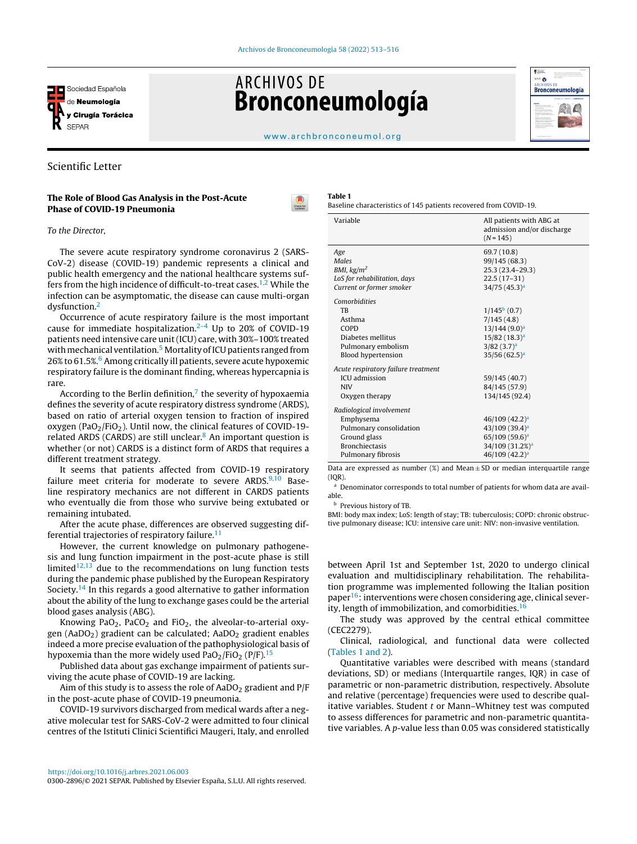<span id="page-0-0"></span>

# **ARCHIVOS DE Bronconeumología**



#### [www.archbronconeumol.org](http://www.archbronconeumol.org)

# Scientific Letter

# The Role of Blood Gas Analysis in the Post-Acute Phase of COVID-19 Pneumonia



To the Director,

The severe acute respiratory syndrome coronavirus 2 (SARS-CoV-2) disease (COVID-19) pandemic represents a clinical and public health emergency and the national healthcare systems suf-fers from the high incidence of difficult-to-treat cases.<sup>[1,2](#page-2-0)</sup> While the infection can be asymptomatic, the disease can cause multi-organ dysfunction.[2](#page-2-0)

Occurrence of acute respiratory failure is the most important cause for immediate hospitalization. $2-4$  Up to 20% of COVID-19 patients need intensive care unit(ICU) care, with 30%–100% treated with mechanical ventilation.<sup>5</sup> [M](#page-2-0)ortality of ICU patients ranged from 26% to 61.5%.<sup>6</sup> [A](#page-2-0)mong critically ill patients, severe acute hypoxemic respiratory failure is the dominant finding, whereas hypercapnia is rare.

According to [th](#page-2-0)e Berlin definition, $7$  the severity of hypoxaemia defines the severity of acute respiratory distress syndrome (ARDS), based on ratio of arterial oxygen tension to fraction of inspired oxygen (PaO<sub>2</sub>/FiO<sub>2</sub>). Until now, the clinical features of COVID-19related ARDS (CARDS) are still unclear. $8$  An important question is whether (or not) CARDS is a distinct form of ARDS that requires a different treatment strategy.

It seems that patients affected from COVID-19 respiratory failure meet criteria for moderate to severe  $ARDS<sub>10</sub>$  Baseline respiratory mechanics are not different in CARDS patients who eventually die from those who survive being extubated or remaining intubated.

After the acute phase, differences are observed suggesting differential trajectories of respiratory failure. $11$ 

However, the current knowledge on pulmonary pathogenesis and lung function impairment in the post-acute phase is still limited $12,13$  due to the recommendations on lung function tests during the pandemic phase published by the European Respiratory Society.<sup>[14](#page-3-0)</sup> In this regards a good alternative to gather information about the ability of the lung to exchange gases could be the arterial blood gases analysis (ABG).

Knowing PaO<sub>2</sub>, PaCO<sub>2</sub> and FiO<sub>2</sub>, the alveolar-to-arterial oxygen (AaDO<sub>2</sub>) gradient can be calculated; AaDO<sub>2</sub> gradient enables indeed a more precise evaluation of the pathophysiological basis of hypoxemia than the more widely used  $PaO<sub>2</sub>/FiO<sub>2</sub> (P/F).<sup>15</sup>$  $PaO<sub>2</sub>/FiO<sub>2</sub> (P/F).<sup>15</sup>$  $PaO<sub>2</sub>/FiO<sub>2</sub> (P/F).<sup>15</sup>$ 

Published data about gas exchange impairment of patients surviving the acute phase of COVID-19 are lacking.

Aim of this study is to assess the role of  $AaDO<sub>2</sub>$  gradient and  $P/F$ in the post-acute phase of COVID-19 pneumonia.

COVID-19 survivors discharged from medical wards after a negative molecular test for SARS-CoV-2 were admitted to four clinical centres of the Istituti Clinici Scientifici Maugeri, Italy, and enrolled

#### Table 1

Baseline characteristics of 145 patients recovered from COVID-19.

| Variable                            | All patients with ABG at<br>admission and/or discharge<br>$(N=145)$ |
|-------------------------------------|---------------------------------------------------------------------|
| Age                                 | 69.7 (10.8)                                                         |
| Males                               | 99/145 (68.3)                                                       |
| BMI, $kg/m2$                        | 25.3 (23.4-29.3)                                                    |
| LoS for rehabilitation, days        | $22.5(17-31)$                                                       |
| Current or former smoker            | 34/75(45.3) <sup>a</sup>                                            |
| Comorbidities                       |                                                                     |
| <b>TB</b>                           | $1/145b$ (0.7)                                                      |
| Asthma                              | 7/145(4.8)                                                          |
| <b>COPD</b>                         | 13/144(9.0) <sup>a</sup>                                            |
| Diabetes mellitus                   | $15/82$ (18.3) <sup>a</sup>                                         |
| Pulmonary embolism                  | $3/82$ (3.7) <sup>a</sup>                                           |
| <b>Blood hypertension</b>           | 35/56(62.5) <sup>a</sup>                                            |
| Acute respiratory failure treatment |                                                                     |
| <b>ICU</b> admission                | 59/145 (40.7)                                                       |
| <b>NIV</b>                          | 84/145 (57.9)                                                       |
| Oxygen therapy                      | 134/145 (92.4)                                                      |
| Radiological involvement            |                                                                     |
| Emphysema                           | $46/109$ $(42.2)^a$                                                 |
| Pulmonary consolidation             | $43/109(39.4)^a$                                                    |
| Ground glass                        | 65/109 (59.6) <sup>a</sup>                                          |
| <b>Bronchiectasis</b>               | 34/109 (31.2%) <sup>a</sup>                                         |
| Pulmonary fibrosis                  | 46/109 (42.2) <sup>a</sup>                                          |
|                                     |                                                                     |

Data are expressed as number  $(\%)$  and Mean  $\pm$  SD or median interquartile range  $(IOR)$ 

<sup>a</sup> Denominator corresponds to total number of patients for whom data are available.

<sup>b</sup> Previous history of TB.

BMI: body max index; LoS: length of stay; TB: tuberculosis; COPD: chronic obstructive pulmonary disease; ICU: intensive care unit: NIV: non-invasive ventilation.

between April 1st and September 1st, 2020 to undergo clinical evaluation and multidisciplinary rehabilitation. The rehabilitation programme was implemented following the Italian position  $paper<sup>16</sup>$  $paper<sup>16</sup>$  $paper<sup>16</sup>$ : interventions were chosen considering age, clinical sever-ity, length of immobilization, and comorbidities.<sup>[16](#page-3-0)</sup>

The study was approved by the central ethical committee (CEC2279).

Clinical, radiological, and functional data were collected (Tables 1 and 2).

Quantitative variables were described with means (standard deviations, SD) or medians (Interquartile ranges, IQR) in case of parametric or non-parametric distribution, respectively. Absolute and relative (percentage) frequencies were used to describe qualitative variables. Student t or Mann-Whitney test was computed to assess differences for parametric and non-parametric quantitative variables. A p-value less than 0.05 was considered statistically

<sup>0300-2896/© 2021</sup> SEPAR. Published by Elsevier España, S.L.U. All rights reserved.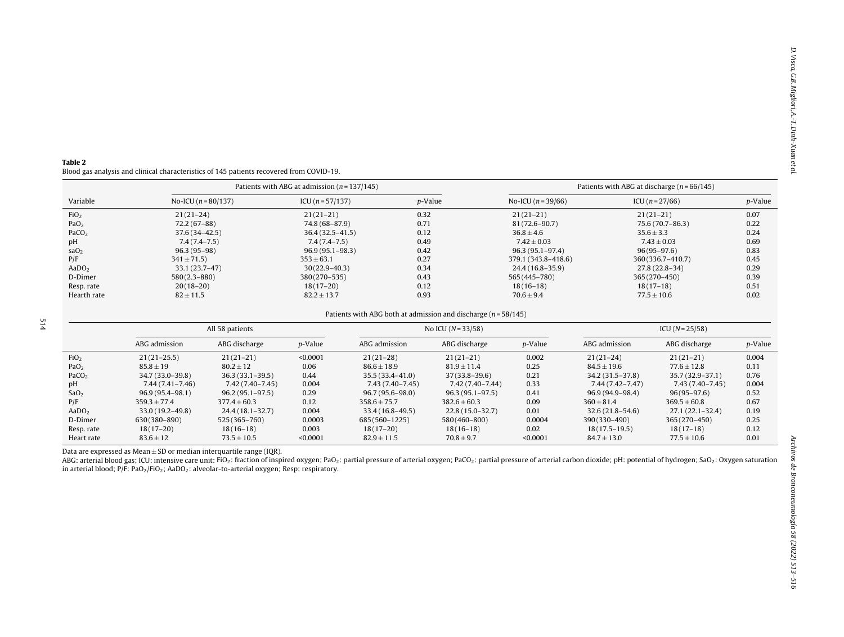#### <span id="page-1-0"></span>Table 2 Blood gas analysis and clinical characteristics of 145 patients recovered from COVID-19.

|                   |                       | Patients with ABG at admission $(n = 137/145)$ | Patients with ABG at discharge ( $n = 66/145$ ) |                     |                   |         |
|-------------------|-----------------------|------------------------------------------------|-------------------------------------------------|---------------------|-------------------|---------|
| Variable          | No-ICU $(n = 80/137)$ | ICU $(n = 57/137)$                             | p-Value                                         | No-ICU $(n=39/66)$  | ICU $(n = 27/66)$ | p-Value |
| FiO <sub>2</sub>  | $21(21-24)$           | $21(21-21)$                                    | 0.32                                            | $21(21-21)$         | $21(21-21)$       | 0.07    |
| PaO <sub>2</sub>  | $72.2(67-88)$         | 74.8 (68-87.9)                                 | 0.71                                            | $81(72.6 - 90.7)$   | 75.6 (70.7-86.3)  | 0.22    |
| PaCO <sub>2</sub> | $37.6(34 - 42.5)$     | $36.4(32.5 - 41.5)$                            | 0.12                                            | $36.8 \pm 4.6$      | $35.6 \pm 3.3$    | 0.24    |
| pH                | $7.4(7.4-7.5)$        | $7.4(7.4-7.5)$                                 | 0.49                                            | $7.42 \pm 0.03$     | $7.43 \pm 0.03$   | 0.69    |
| saO <sub>2</sub>  | $96.3(95-98)$         | $96.9(95.1 - 98.3)$                            | 0.42                                            | $96.3(95.1 - 97.4)$ | $96(95-97.6)$     | 0.83    |
| P/F               | $341 \pm 71.5$        | $353 \pm 63.1$                                 | 0.27                                            | 379.1 (343.8-418.6) | 360(336.7-410.7)  | 0.45    |
| AaDO <sub>2</sub> | $33.1(23.7-47)$       | $30(22.9 - 40.3)$                              | 0.34                                            | $24.4(16.8-35.9)$   | $27.8(22.8-34)$   | 0.29    |
| D-Dimer           | $580(2.3 - 880)$      | 380(270-535)                                   | 0.43                                            | 565 (445 – 780)     | $365(270-450)$    | 0.39    |
| Resp. rate        | $20(18-20)$           | $18(17-20)$                                    | 0.12                                            | $18(16-18)$         | $18(17-18)$       | 0.51    |
| Hearth rate       | $82 \pm 11.5$         | $82.2 \pm 13.7$                                | 0.93                                            | $70.6 \pm 9.4$      | $77.5 \pm 10.6$   | 0.02    |

#### Patients with ABG both at admission and discharge ( $n = 58/145$ )

|                   | All 58 patients     |                     |                 | No ICU $(N = 33/58)$ |                     |                 | $ICU (N = 25/58)$   |                     |                 |
|-------------------|---------------------|---------------------|-----------------|----------------------|---------------------|-----------------|---------------------|---------------------|-----------------|
|                   | ABG admission       | ABG discharge       | <i>p</i> -Value | ABG admission        | ABG discharge       | <i>p</i> -Value | ABG admission       | ABG discharge       | <i>p</i> -Value |
| FiO <sub>2</sub>  | $21(21-25.5)$       | $21(21-21)$         | < 0.0001        | $21(21-28)$          | $21(21-21)$         | 0.002           | $21(21-24)$         | $21(21-21)$         | 0.004           |
| PaO <sub>2</sub>  | $85.8 \pm 19$       | $80.2 \pm 12$       | 0.06            | $86.6 \pm 18.9$      | $81.9 \pm 11.4$     | 0.25            | $84.5 \pm 19.6$     | $77.6 \pm 12.8$     | 0.11            |
| PaCO <sub>2</sub> | 34.7 (33.0–39.8)    | $36.3(33.1-39.5)$   | 0.44            | $35.5(33.4 - 41.0)$  | $37(33.8 - 39.6)$   | 0.21            | 34.2 (31.5 - 37.8)  | $35.7(32.9 - 37.1)$ | 0.76            |
| pH                | 7.44 (7.41–7.46)    | 7.42 (7.40–7.45)    | 0.004           | 7.43 (7.40–7.45)     | 7.42 (7.40–7.44)    | 0.33            | $7.44(7.42 - 7.47)$ | 7.43 (7.40–7.45)    | 0.004           |
| SaO <sub>2</sub>  | $96.9(95.4 - 98.1)$ | $96.2(95.1 - 97.5)$ | 0.29            | $96.7(95.6 - 98.0)$  | $96.3(95.1 - 97.5)$ | 0.41            | 96.9 (94.9–98.4)    | $96(95 - 97.6)$     | 0.52            |
| P/F               | $359.3 \pm 77.4$    | $377.4 \pm 60.3$    | 0.12            | $358.6 + 75.7$       | $382.6 \pm 60.3$    | 0.09            | $360 \pm 81.4$      | $369.5 \pm 60.8$    | 0.67            |
| AaDO <sub>2</sub> | $33.0(19.2 - 49.8)$ | $24.4(18.1-32.7)$   | 0.004           | $33.4(16.8 - 49.5)$  | $22.8(15.0-32.7)$   | 0.01            | $32.6(21.8 - 54.6)$ | $27.1(22.1 - 32.4)$ | 0.19            |
| D-Dimer           | 630(380-890)        | 525(365-760)        | 0.0003          | 685(560-1225)        | 580(460-800)        | 0.0004          | 390(330-490)        | $365(270-450)$      | 0.25            |
| Resp. rate        | $18(17-20)$         | $18(16-18)$         | 0.003           | $18(17-20)$          | $18(16-18)$         | 0.02            | $18(17.5 - 19.5)$   | $18(17-18)$         | 0.12            |
| Heart rate        | $83.6 \pm 12$       | $73.5 \pm 10.5$     | < 0.0001        | $82.9 \pm 11.5$      | $70.8 \pm 9.7$      | < 0.0001        | $84.7 \pm 13.0$     | $77.5 \pm 10.6$     | 0.01            |

Data are expressed as  $Mean \pm SD$  or median interquartile range (IQR).

ABG: arterial blood gas; ICU: intensive care unit: FiO<sub>2</sub>: fraction of inspired oxygen; PaO<sub>2</sub>: partial pressure of arterial oxygen; PaCO<sub>2</sub>: partial pressure of arterial exygen; PaCO<sub>2</sub>: partial pressure of arterial carbo in arterial blood; P/F: PaO<sub>2</sub>/FiO<sub>2</sub>; AaDO<sub>2</sub>: alveolar-to-arterial oxygen; Resp: respiratory.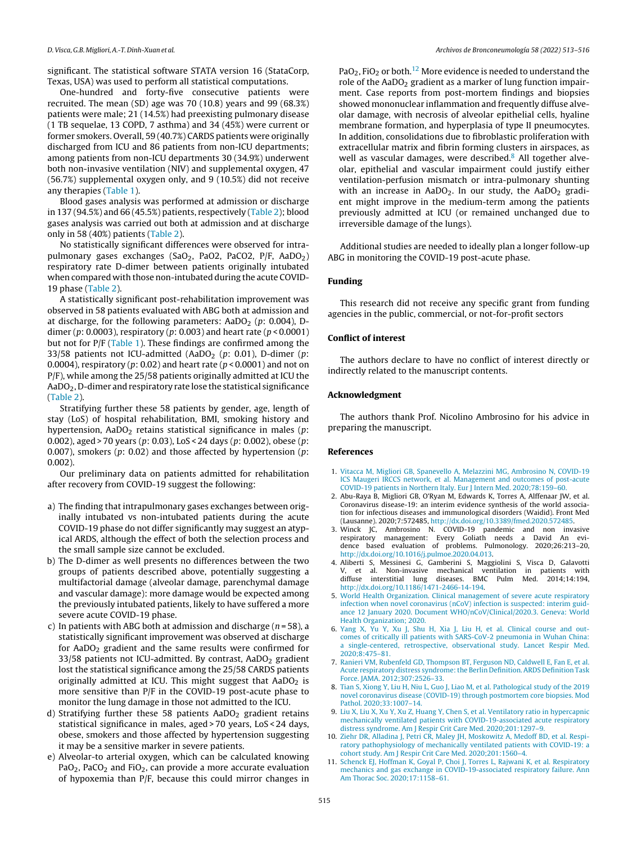<span id="page-2-0"></span>significant. The statistical software STATA version 16 (StataCorp, Texas, USA) was used to perform all statistical computations.

One-hundred and forty-five consecutive patients were recruited. The mean (SD) age was 70 (10.8) years and 99 (68.3%) patients were male; 21 (14.5%) had preexisting pulmonary disease (1 TB sequelae, 13 COPD, 7 asthma) and 34 (45%) were current or former smokers. Overall, 59 (40.7%) CARDS patients were originally discharged from ICU and 86 patients from non-ICU departments; among patients from non-ICU departments 30 (34.9%) underwent both non-invasive ventilation (NIV) and supplemental oxygen, 47 (56.7%) supplemental oxygen only, and 9 (10.5%) did not receive any therapies ([Table](#page-0-0) 1).

Blood gases analysis was performed at admission or discharge in 137 (94.5%) and 66 (45.5%) patients, respectively ([Table](#page-1-0) 2); blood gases analysis was carried out both at admission and at discharge only in 58 (40%) patients [\(Table](#page-1-0) 2).

No statistically significant differences were observed for intrapulmonary gases exchanges (SaO<sub>2</sub>, PaO2, PaCO2, P/F, AaDO<sub>2</sub>) respiratory rate D-dimer between patients originally intubated when compared with those non-intubated during the acute COVID-19 phase [\(Table](#page-1-0) 2).

A statistically significant post-rehabilitation improvement was observed in 58 patients evaluated with ABG both at admission and at discharge, for the following parameters:  $AaDO<sub>2</sub>$  (p: 0.004), Ddimer (p: 0.0003), respiratory (p: 0.003) and heart rate ( $p < 0.0001$ ) but not for P/F [\(Table](#page-0-0) 1). These findings are confirmed among the 33/58 patients not ICU-admitted (AaDO<sub>2</sub> (p: 0.01), D-dimer (p: 0.0004), respiratory ( $p: 0.02$ ) and heart rate ( $p < 0.0001$ ) and not on P/F), while among the 25/58 patients originally admitted at ICU the AaDO2, D-dimer and respiratory rate lose the statistical significance [\(Table](#page-1-0) 2).

Stratifying further these 58 patients by gender, age, length of stay (LoS) of hospital rehabilitation, BMI, smoking history and hypertension,  $AaDO<sub>2</sub>$  retains statistical significance in males (p: 0.002), aged > 70 years (p: 0.03), LoS < 24 days (p: 0.002), obese (p: 0.007), smokers ( $p$ : 0.02) and those affected by hypertension ( $p$ : 0.002).

Our preliminary data on patients admitted for rehabilitation after recovery from COVID-19 suggest the following:

- a) The finding that intrapulmonary gases exchanges between originally intubated vs non-intubated patients during the acute COVID-19 phase do not differ significantly may suggest an atypical ARDS, although the effect of both the selection process and the small sample size cannot be excluded.
- b) The D-dimer as well presents no differences between the two groups of patients described above, potentially suggesting a multifactorial damage (alveolar damage, parenchymal damage and vascular damage): more damage would be expected among the previously intubated patients, likely to have suffered a more severe acute COVID-19 phase.
- c) In patients with ABG both at admission and discharge ( $n = 58$ ), a statistically significant improvement was observed at discharge for AaDO<sub>2</sub> gradient and the same results were confirmed for  $33/58$  patients not ICU-admitted. By contrast, AaDO<sub>2</sub> gradient lost the statistical significance among the 25/58 CARDS patients originally admitted at ICU. This might suggest that  $AaDO<sub>2</sub>$  is more sensitive than P/F in the COVID-19 post-acute phase to monitor the lung damage in those not admitted to the ICU.
- d) Stratifying further these 58 patients  $AaDO<sub>2</sub>$  gradient retains statistical significance in males, aged > 70 years, LoS < 24 days, obese, smokers and those affected by hypertension suggesting it may be a sensitive marker in severe patients.
- e) Alveolar-to arterial oxygen, which can be calculated knowing PaO<sub>2</sub>, PaCO<sub>2</sub> and FiO<sub>2</sub>, can provide a more accurate evaluation of hypoxemia than P/F, because this could mirror changes in

PaO<sub>2</sub>, FiO<sub>2</sub> or both.<sup>[12](#page-3-0)</sup> More evidence is needed to understand the role of the AaDO<sub>2</sub> gradient as a marker of lung function impairment. Case reports from post-mortem findings and biopsies showed mononuclear inflammation and frequently diffuse alveolar damage, with necrosis of alveolar epithelial cells, hyaline membrane formation, and hyperplasia of type II pneumocytes. In addition, consolidations due to fibroblastic proliferation with extracellular matrix and fibrin forming clusters in airspaces, as well as vascular damages, were described.<sup>8</sup> All together alveolar, epithelial and vascular impairment could justify either ventilation-perfusion mismatch or intra-pulmonary shunting with an increase in AaDO<sub>2</sub>. In our study, the AaDO<sub>2</sub> gradient might improve in the medium-term among the patients previously admitted at ICU (or remained unchanged due to irreversible damage of the lungs).

Additional studies are needed to ideally plan a longer follow-up ABG in monitoring the COVID-19 post-acute phase.

## Funding

This research did not receive any specific grant from funding agencies in the public, commercial, or not-for-profit sectors

## Conflict of interest

The authors declare to have no conflict of interest directly or indirectly related to the manuscript contents.

# Acknowledgment

The authors thank Prof. Nicolino Ambrosino for his advice in preparing the manuscript.

## References

- 1. [Vitacca](http://refhub.elsevier.com/S0300-2896(21)00185-X/sbref0085) [M,](http://refhub.elsevier.com/S0300-2896(21)00185-X/sbref0085) [Migliori](http://refhub.elsevier.com/S0300-2896(21)00185-X/sbref0085) [GB,](http://refhub.elsevier.com/S0300-2896(21)00185-X/sbref0085) [Spanevello](http://refhub.elsevier.com/S0300-2896(21)00185-X/sbref0085) [A,](http://refhub.elsevier.com/S0300-2896(21)00185-X/sbref0085) [Melazzini](http://refhub.elsevier.com/S0300-2896(21)00185-X/sbref0085) [MG,](http://refhub.elsevier.com/S0300-2896(21)00185-X/sbref0085) [Ambrosino](http://refhub.elsevier.com/S0300-2896(21)00185-X/sbref0085) [N,](http://refhub.elsevier.com/S0300-2896(21)00185-X/sbref0085) [COVID-19](http://refhub.elsevier.com/S0300-2896(21)00185-X/sbref0085) [ICS](http://refhub.elsevier.com/S0300-2896(21)00185-X/sbref0085) [Maugeri](http://refhub.elsevier.com/S0300-2896(21)00185-X/sbref0085) [IRCCS](http://refhub.elsevier.com/S0300-2896(21)00185-X/sbref0085) [network,](http://refhub.elsevier.com/S0300-2896(21)00185-X/sbref0085) [et](http://refhub.elsevier.com/S0300-2896(21)00185-X/sbref0085) [al.](http://refhub.elsevier.com/S0300-2896(21)00185-X/sbref0085) [Management](http://refhub.elsevier.com/S0300-2896(21)00185-X/sbref0085) [and](http://refhub.elsevier.com/S0300-2896(21)00185-X/sbref0085) [outcomes](http://refhub.elsevier.com/S0300-2896(21)00185-X/sbref0085) [of](http://refhub.elsevier.com/S0300-2896(21)00185-X/sbref0085) [post-acute](http://refhub.elsevier.com/S0300-2896(21)00185-X/sbref0085) [COVID-19](http://refhub.elsevier.com/S0300-2896(21)00185-X/sbref0085) [patients](http://refhub.elsevier.com/S0300-2896(21)00185-X/sbref0085) [in](http://refhub.elsevier.com/S0300-2896(21)00185-X/sbref0085) [Northern](http://refhub.elsevier.com/S0300-2896(21)00185-X/sbref0085) [Italy.](http://refhub.elsevier.com/S0300-2896(21)00185-X/sbref0085) [Eur](http://refhub.elsevier.com/S0300-2896(21)00185-X/sbref0085) [J](http://refhub.elsevier.com/S0300-2896(21)00185-X/sbref0085) [Intern](http://refhub.elsevier.com/S0300-2896(21)00185-X/sbref0085) [Med.](http://refhub.elsevier.com/S0300-2896(21)00185-X/sbref0085) [2020;78:159](http://refhub.elsevier.com/S0300-2896(21)00185-X/sbref0085)–[60.](http://refhub.elsevier.com/S0300-2896(21)00185-X/sbref0085)
- 2. Abu-Raya B, Migliori GB, O'Ryan M, Edwards K, Torres A, Alffenaar JW, et al. Coronavirus disease-19: an interim evidence synthesis of the world association for infectious diseases and immunological disorders (Waidid). Front Med (Lausanne). 2020;7:572485, [http://dx.doi.org/10.3389/fmed.2020.572485](dx.doi.org/10.3389/fmed.2020.572485).
- 3. Winck JC, Ambrosino N. COVID-19 pandemic and non invasive respiratory management: Every Goliath needs a David An evidence based evaluation of problems. Pulmonology. 2020;26:213–20, [http://dx.doi.org/10.1016/j.pulmoe.2020.04.013](dx.doi.org/10.1016/j.pulmoe.2020.04.013).
- 4. Aliberti S, Messinesi G, Gamberini S, Maggiolini S, Visca D, Galavotti et al. Non-invasive mechanical ventilation in patients with diffuse interstitial lung diseases. BMC Pulm Med. 2014;14:194, [http://dx.doi.org/10.1186/1471-2466-14-194](dx.doi.org/10.1186/1471-2466-14-194).
- 5. [World](http://refhub.elsevier.com/S0300-2896(21)00185-X/sbref0105) [Health](http://refhub.elsevier.com/S0300-2896(21)00185-X/sbref0105) [Organization.](http://refhub.elsevier.com/S0300-2896(21)00185-X/sbref0105) [Clinical](http://refhub.elsevier.com/S0300-2896(21)00185-X/sbref0105) [management](http://refhub.elsevier.com/S0300-2896(21)00185-X/sbref0105) [of](http://refhub.elsevier.com/S0300-2896(21)00185-X/sbref0105) [severe](http://refhub.elsevier.com/S0300-2896(21)00185-X/sbref0105) [acute](http://refhub.elsevier.com/S0300-2896(21)00185-X/sbref0105) [respiratory](http://refhub.elsevier.com/S0300-2896(21)00185-X/sbref0105) [infection](http://refhub.elsevier.com/S0300-2896(21)00185-X/sbref0105) [when](http://refhub.elsevier.com/S0300-2896(21)00185-X/sbref0105) [novel](http://refhub.elsevier.com/S0300-2896(21)00185-X/sbref0105) [coronavirus](http://refhub.elsevier.com/S0300-2896(21)00185-X/sbref0105) [\(nCoV\)](http://refhub.elsevier.com/S0300-2896(21)00185-X/sbref0105) [infection](http://refhub.elsevier.com/S0300-2896(21)00185-X/sbref0105) [is](http://refhub.elsevier.com/S0300-2896(21)00185-X/sbref0105) [suspected:](http://refhub.elsevier.com/S0300-2896(21)00185-X/sbref0105) [interim](http://refhub.elsevier.com/S0300-2896(21)00185-X/sbref0105) [guid](http://refhub.elsevier.com/S0300-2896(21)00185-X/sbref0105)[ance](http://refhub.elsevier.com/S0300-2896(21)00185-X/sbref0105) [12](http://refhub.elsevier.com/S0300-2896(21)00185-X/sbref0105) [January](http://refhub.elsevier.com/S0300-2896(21)00185-X/sbref0105) [2020.](http://refhub.elsevier.com/S0300-2896(21)00185-X/sbref0105) [Document](http://refhub.elsevier.com/S0300-2896(21)00185-X/sbref0105) [WHO/nCoV/Clinical/2020.3.](http://refhub.elsevier.com/S0300-2896(21)00185-X/sbref0105) [Geneva:](http://refhub.elsevier.com/S0300-2896(21)00185-X/sbref0105) [World](http://refhub.elsevier.com/S0300-2896(21)00185-X/sbref0105) [Health](http://refhub.elsevier.com/S0300-2896(21)00185-X/sbref0105) [Organization;](http://refhub.elsevier.com/S0300-2896(21)00185-X/sbref0105) [2020.](http://refhub.elsevier.com/S0300-2896(21)00185-X/sbref0105)
- 6. [Yang](http://refhub.elsevier.com/S0300-2896(21)00185-X/sbref0110) [X,](http://refhub.elsevier.com/S0300-2896(21)00185-X/sbref0110) [Yu](http://refhub.elsevier.com/S0300-2896(21)00185-X/sbref0110) [Y,](http://refhub.elsevier.com/S0300-2896(21)00185-X/sbref0110) [Xu](http://refhub.elsevier.com/S0300-2896(21)00185-X/sbref0110) [J,](http://refhub.elsevier.com/S0300-2896(21)00185-X/sbref0110) [Shu](http://refhub.elsevier.com/S0300-2896(21)00185-X/sbref0110) [H,](http://refhub.elsevier.com/S0300-2896(21)00185-X/sbref0110) [Xia](http://refhub.elsevier.com/S0300-2896(21)00185-X/sbref0110) [J,](http://refhub.elsevier.com/S0300-2896(21)00185-X/sbref0110) [Liu](http://refhub.elsevier.com/S0300-2896(21)00185-X/sbref0110) [H,](http://refhub.elsevier.com/S0300-2896(21)00185-X/sbref0110) [et](http://refhub.elsevier.com/S0300-2896(21)00185-X/sbref0110) [al.](http://refhub.elsevier.com/S0300-2896(21)00185-X/sbref0110) [Clinical](http://refhub.elsevier.com/S0300-2896(21)00185-X/sbref0110) [course](http://refhub.elsevier.com/S0300-2896(21)00185-X/sbref0110) [and](http://refhub.elsevier.com/S0300-2896(21)00185-X/sbref0110) [out](http://refhub.elsevier.com/S0300-2896(21)00185-X/sbref0110)[comes](http://refhub.elsevier.com/S0300-2896(21)00185-X/sbref0110) [of](http://refhub.elsevier.com/S0300-2896(21)00185-X/sbref0110) [critically](http://refhub.elsevier.com/S0300-2896(21)00185-X/sbref0110) [ill](http://refhub.elsevier.com/S0300-2896(21)00185-X/sbref0110) [patients](http://refhub.elsevier.com/S0300-2896(21)00185-X/sbref0110) [with](http://refhub.elsevier.com/S0300-2896(21)00185-X/sbref0110) [SARS-CoV-2](http://refhub.elsevier.com/S0300-2896(21)00185-X/sbref0110) [pneumonia](http://refhub.elsevier.com/S0300-2896(21)00185-X/sbref0110) [in](http://refhub.elsevier.com/S0300-2896(21)00185-X/sbref0110) [Wuhan](http://refhub.elsevier.com/S0300-2896(21)00185-X/sbref0110) [China:](http://refhub.elsevier.com/S0300-2896(21)00185-X/sbref0110) [a](http://refhub.elsevier.com/S0300-2896(21)00185-X/sbref0110) [single-centered,](http://refhub.elsevier.com/S0300-2896(21)00185-X/sbref0110) [retrospective,](http://refhub.elsevier.com/S0300-2896(21)00185-X/sbref0110) [observational](http://refhub.elsevier.com/S0300-2896(21)00185-X/sbref0110) [study.](http://refhub.elsevier.com/S0300-2896(21)00185-X/sbref0110) [Lancet](http://refhub.elsevier.com/S0300-2896(21)00185-X/sbref0110) [Respir](http://refhub.elsevier.com/S0300-2896(21)00185-X/sbref0110) [Med.](http://refhub.elsevier.com/S0300-2896(21)00185-X/sbref0110) [2020;8:475–81.](http://refhub.elsevier.com/S0300-2896(21)00185-X/sbref0110)
- 7. [Ranieri](http://refhub.elsevier.com/S0300-2896(21)00185-X/sbref0115) [VM,](http://refhub.elsevier.com/S0300-2896(21)00185-X/sbref0115) [Rubenfeld](http://refhub.elsevier.com/S0300-2896(21)00185-X/sbref0115) [GD,](http://refhub.elsevier.com/S0300-2896(21)00185-X/sbref0115) [Thompson](http://refhub.elsevier.com/S0300-2896(21)00185-X/sbref0115) [BT,](http://refhub.elsevier.com/S0300-2896(21)00185-X/sbref0115) [Ferguson](http://refhub.elsevier.com/S0300-2896(21)00185-X/sbref0115) [ND,](http://refhub.elsevier.com/S0300-2896(21)00185-X/sbref0115) [Caldwell](http://refhub.elsevier.com/S0300-2896(21)00185-X/sbref0115) [E,](http://refhub.elsevier.com/S0300-2896(21)00185-X/sbref0115) [Fan](http://refhub.elsevier.com/S0300-2896(21)00185-X/sbref0115) [E,](http://refhub.elsevier.com/S0300-2896(21)00185-X/sbref0115) [et](http://refhub.elsevier.com/S0300-2896(21)00185-X/sbref0115) [al.](http://refhub.elsevier.com/S0300-2896(21)00185-X/sbref0115) [Acute](http://refhub.elsevier.com/S0300-2896(21)00185-X/sbref0115) [respiratory](http://refhub.elsevier.com/S0300-2896(21)00185-X/sbref0115) [distress](http://refhub.elsevier.com/S0300-2896(21)00185-X/sbref0115) syndrome: the [Berlin](http://refhub.elsevier.com/S0300-2896(21)00185-X/sbref0115) [Definition.](http://refhub.elsevier.com/S0300-2896(21)00185-X/sbref0115) [ARDS](http://refhub.elsevier.com/S0300-2896(21)00185-X/sbref0115) [Definition](http://refhub.elsevier.com/S0300-2896(21)00185-X/sbref0115) [Task](http://refhub.elsevier.com/S0300-2896(21)00185-X/sbref0115) [Force.](http://refhub.elsevier.com/S0300-2896(21)00185-X/sbref0115) [JAMA.](http://refhub.elsevier.com/S0300-2896(21)00185-X/sbref0115) [2012;307:2526–33.](http://refhub.elsevier.com/S0300-2896(21)00185-X/sbref0115)
- 8. [Tian](http://refhub.elsevier.com/S0300-2896(21)00185-X/sbref0120) [S,](http://refhub.elsevier.com/S0300-2896(21)00185-X/sbref0120) [Xiong](http://refhub.elsevier.com/S0300-2896(21)00185-X/sbref0120) [Y,](http://refhub.elsevier.com/S0300-2896(21)00185-X/sbref0120) [Liu](http://refhub.elsevier.com/S0300-2896(21)00185-X/sbref0120) [H,](http://refhub.elsevier.com/S0300-2896(21)00185-X/sbref0120) [Niu](http://refhub.elsevier.com/S0300-2896(21)00185-X/sbref0120) [L,](http://refhub.elsevier.com/S0300-2896(21)00185-X/sbref0120) [Guo](http://refhub.elsevier.com/S0300-2896(21)00185-X/sbref0120) [J,](http://refhub.elsevier.com/S0300-2896(21)00185-X/sbref0120) [Liao](http://refhub.elsevier.com/S0300-2896(21)00185-X/sbref0120) [M,](http://refhub.elsevier.com/S0300-2896(21)00185-X/sbref0120) [et](http://refhub.elsevier.com/S0300-2896(21)00185-X/sbref0120) [al.](http://refhub.elsevier.com/S0300-2896(21)00185-X/sbref0120) [Pathological](http://refhub.elsevier.com/S0300-2896(21)00185-X/sbref0120) [study](http://refhub.elsevier.com/S0300-2896(21)00185-X/sbref0120) [of](http://refhub.elsevier.com/S0300-2896(21)00185-X/sbref0120) [the](http://refhub.elsevier.com/S0300-2896(21)00185-X/sbref0120) [2019](http://refhub.elsevier.com/S0300-2896(21)00185-X/sbref0120) [novel](http://refhub.elsevier.com/S0300-2896(21)00185-X/sbref0120) [coronavirus](http://refhub.elsevier.com/S0300-2896(21)00185-X/sbref0120) [disease](http://refhub.elsevier.com/S0300-2896(21)00185-X/sbref0120) [\(COVID-19\)](http://refhub.elsevier.com/S0300-2896(21)00185-X/sbref0120) [through](http://refhub.elsevier.com/S0300-2896(21)00185-X/sbref0120) [postmortem](http://refhub.elsevier.com/S0300-2896(21)00185-X/sbref0120) [core](http://refhub.elsevier.com/S0300-2896(21)00185-X/sbref0120) [biopsies.](http://refhub.elsevier.com/S0300-2896(21)00185-X/sbref0120) [Mod](http://refhub.elsevier.com/S0300-2896(21)00185-X/sbref0120) [Pathol.](http://refhub.elsevier.com/S0300-2896(21)00185-X/sbref0120) [2020;33:1007–14.](http://refhub.elsevier.com/S0300-2896(21)00185-X/sbref0120)
- 9. [Liu](http://refhub.elsevier.com/S0300-2896(21)00185-X/sbref0125) [X,](http://refhub.elsevier.com/S0300-2896(21)00185-X/sbref0125) [Liu](http://refhub.elsevier.com/S0300-2896(21)00185-X/sbref0125) [X,](http://refhub.elsevier.com/S0300-2896(21)00185-X/sbref0125) [Xu](http://refhub.elsevier.com/S0300-2896(21)00185-X/sbref0125) [Y,](http://refhub.elsevier.com/S0300-2896(21)00185-X/sbref0125) [Xu](http://refhub.elsevier.com/S0300-2896(21)00185-X/sbref0125) [Z,](http://refhub.elsevier.com/S0300-2896(21)00185-X/sbref0125) [Huang](http://refhub.elsevier.com/S0300-2896(21)00185-X/sbref0125) [Y,](http://refhub.elsevier.com/S0300-2896(21)00185-X/sbref0125) [Chen](http://refhub.elsevier.com/S0300-2896(21)00185-X/sbref0125) [S,](http://refhub.elsevier.com/S0300-2896(21)00185-X/sbref0125) [et](http://refhub.elsevier.com/S0300-2896(21)00185-X/sbref0125) [al.](http://refhub.elsevier.com/S0300-2896(21)00185-X/sbref0125) [Ventilatory](http://refhub.elsevier.com/S0300-2896(21)00185-X/sbref0125) [ratio](http://refhub.elsevier.com/S0300-2896(21)00185-X/sbref0125) [in](http://refhub.elsevier.com/S0300-2896(21)00185-X/sbref0125) [hypercapnic](http://refhub.elsevier.com/S0300-2896(21)00185-X/sbref0125) [mechanically](http://refhub.elsevier.com/S0300-2896(21)00185-X/sbref0125) [ventilated](http://refhub.elsevier.com/S0300-2896(21)00185-X/sbref0125) [patients](http://refhub.elsevier.com/S0300-2896(21)00185-X/sbref0125) [with](http://refhub.elsevier.com/S0300-2896(21)00185-X/sbref0125) [COVID-19-associated](http://refhub.elsevier.com/S0300-2896(21)00185-X/sbref0125) [acute](http://refhub.elsevier.com/S0300-2896(21)00185-X/sbref0125) [respiratory](http://refhub.elsevier.com/S0300-2896(21)00185-X/sbref0125) [distress](http://refhub.elsevier.com/S0300-2896(21)00185-X/sbref0125) [syndrome.](http://refhub.elsevier.com/S0300-2896(21)00185-X/sbref0125) [Am](http://refhub.elsevier.com/S0300-2896(21)00185-X/sbref0125) [J](http://refhub.elsevier.com/S0300-2896(21)00185-X/sbref0125) [Respir](http://refhub.elsevier.com/S0300-2896(21)00185-X/sbref0125) [Crit](http://refhub.elsevier.com/S0300-2896(21)00185-X/sbref0125) [Care](http://refhub.elsevier.com/S0300-2896(21)00185-X/sbref0125) [Med.](http://refhub.elsevier.com/S0300-2896(21)00185-X/sbref0125) [2020;201:1297–9.](http://refhub.elsevier.com/S0300-2896(21)00185-X/sbref0125)
- 10. [Ziehr](http://refhub.elsevier.com/S0300-2896(21)00185-X/sbref0130) [DR,](http://refhub.elsevier.com/S0300-2896(21)00185-X/sbref0130) [Alladina](http://refhub.elsevier.com/S0300-2896(21)00185-X/sbref0130) [J,](http://refhub.elsevier.com/S0300-2896(21)00185-X/sbref0130) [Petri](http://refhub.elsevier.com/S0300-2896(21)00185-X/sbref0130) [CR,](http://refhub.elsevier.com/S0300-2896(21)00185-X/sbref0130) [Maley](http://refhub.elsevier.com/S0300-2896(21)00185-X/sbref0130) [JH,](http://refhub.elsevier.com/S0300-2896(21)00185-X/sbref0130) [Moskowitz](http://refhub.elsevier.com/S0300-2896(21)00185-X/sbref0130) [A,](http://refhub.elsevier.com/S0300-2896(21)00185-X/sbref0130) [Medoff](http://refhub.elsevier.com/S0300-2896(21)00185-X/sbref0130) [BD,](http://refhub.elsevier.com/S0300-2896(21)00185-X/sbref0130) [et](http://refhub.elsevier.com/S0300-2896(21)00185-X/sbref0130) [al.](http://refhub.elsevier.com/S0300-2896(21)00185-X/sbref0130) [Respi](http://refhub.elsevier.com/S0300-2896(21)00185-X/sbref0130)[ratory](http://refhub.elsevier.com/S0300-2896(21)00185-X/sbref0130) [pathophysiology](http://refhub.elsevier.com/S0300-2896(21)00185-X/sbref0130) [of](http://refhub.elsevier.com/S0300-2896(21)00185-X/sbref0130) [mechanically](http://refhub.elsevier.com/S0300-2896(21)00185-X/sbref0130) [ventilated](http://refhub.elsevier.com/S0300-2896(21)00185-X/sbref0130) [patients](http://refhub.elsevier.com/S0300-2896(21)00185-X/sbref0130) [with](http://refhub.elsevier.com/S0300-2896(21)00185-X/sbref0130) [COVID-19:](http://refhub.elsevier.com/S0300-2896(21)00185-X/sbref0130) [a](http://refhub.elsevier.com/S0300-2896(21)00185-X/sbref0130) [cohort](http://refhub.elsevier.com/S0300-2896(21)00185-X/sbref0130) [study.](http://refhub.elsevier.com/S0300-2896(21)00185-X/sbref0130) [Am](http://refhub.elsevier.com/S0300-2896(21)00185-X/sbref0130) [J](http://refhub.elsevier.com/S0300-2896(21)00185-X/sbref0130) [Respir](http://refhub.elsevier.com/S0300-2896(21)00185-X/sbref0130) [Crit](http://refhub.elsevier.com/S0300-2896(21)00185-X/sbref0130) [Care](http://refhub.elsevier.com/S0300-2896(21)00185-X/sbref0130) [Med.](http://refhub.elsevier.com/S0300-2896(21)00185-X/sbref0130) [2020;201:1560–4.](http://refhub.elsevier.com/S0300-2896(21)00185-X/sbref0130)
- 11. [Schenck](http://refhub.elsevier.com/S0300-2896(21)00185-X/sbref0135) [EJ,](http://refhub.elsevier.com/S0300-2896(21)00185-X/sbref0135) [Hoffman](http://refhub.elsevier.com/S0300-2896(21)00185-X/sbref0135) [K,](http://refhub.elsevier.com/S0300-2896(21)00185-X/sbref0135) [Goyal](http://refhub.elsevier.com/S0300-2896(21)00185-X/sbref0135) [P,](http://refhub.elsevier.com/S0300-2896(21)00185-X/sbref0135) [Choi](http://refhub.elsevier.com/S0300-2896(21)00185-X/sbref0135) [J,](http://refhub.elsevier.com/S0300-2896(21)00185-X/sbref0135) [Torres](http://refhub.elsevier.com/S0300-2896(21)00185-X/sbref0135) [L,](http://refhub.elsevier.com/S0300-2896(21)00185-X/sbref0135) [Rajwani](http://refhub.elsevier.com/S0300-2896(21)00185-X/sbref0135) K, [et](http://refhub.elsevier.com/S0300-2896(21)00185-X/sbref0135) [al.](http://refhub.elsevier.com/S0300-2896(21)00185-X/sbref0135) [Respiratory](http://refhub.elsevier.com/S0300-2896(21)00185-X/sbref0135) [mechanics](http://refhub.elsevier.com/S0300-2896(21)00185-X/sbref0135) [and](http://refhub.elsevier.com/S0300-2896(21)00185-X/sbref0135) [gas](http://refhub.elsevier.com/S0300-2896(21)00185-X/sbref0135) [exchange](http://refhub.elsevier.com/S0300-2896(21)00185-X/sbref0135) [in](http://refhub.elsevier.com/S0300-2896(21)00185-X/sbref0135) [COVID-19-associated](http://refhub.elsevier.com/S0300-2896(21)00185-X/sbref0135) [respiratory](http://refhub.elsevier.com/S0300-2896(21)00185-X/sbref0135) [failure.](http://refhub.elsevier.com/S0300-2896(21)00185-X/sbref0135) [Ann](http://refhub.elsevier.com/S0300-2896(21)00185-X/sbref0135) [Am](http://refhub.elsevier.com/S0300-2896(21)00185-X/sbref0135) [Thorac](http://refhub.elsevier.com/S0300-2896(21)00185-X/sbref0135) [Soc.](http://refhub.elsevier.com/S0300-2896(21)00185-X/sbref0135) [2020;17:1158–61.](http://refhub.elsevier.com/S0300-2896(21)00185-X/sbref0135)